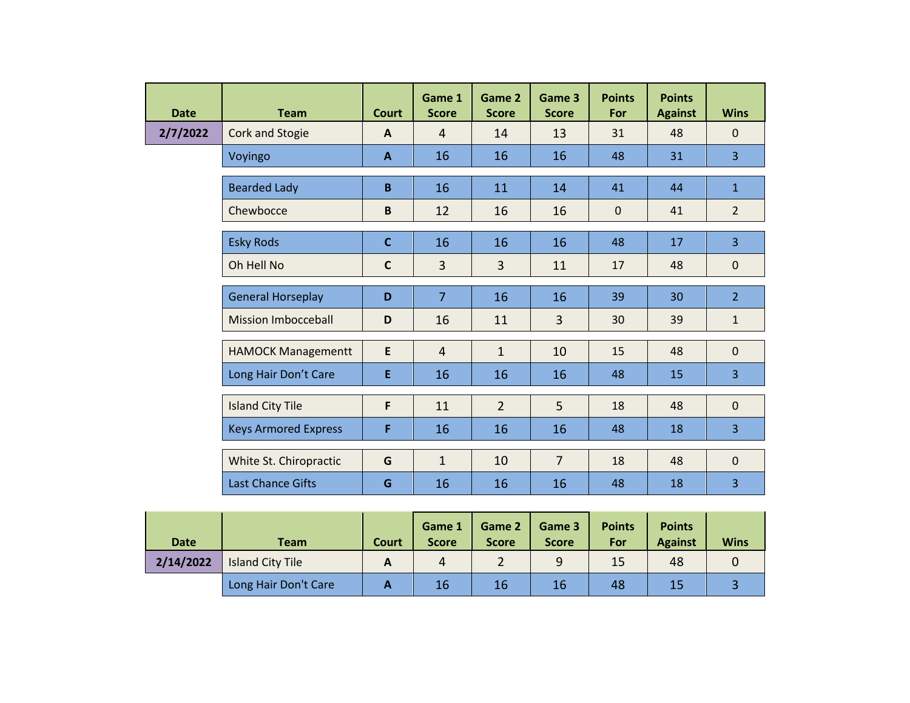| <b>Date</b> | <b>Team</b>                 | <b>Court</b> | Game 1<br><b>Score</b> | Game 2<br><b>Score</b> | Game 3<br><b>Score</b> | <b>Points</b><br>For | <b>Points</b><br><b>Against</b> | <b>Wins</b>    |
|-------------|-----------------------------|--------------|------------------------|------------------------|------------------------|----------------------|---------------------------------|----------------|
| 2/7/2022    | <b>Cork and Stogie</b>      | $\mathbf{A}$ | $\overline{4}$         | 14                     | 13                     | 31                   | 48                              | $\Omega$       |
|             | Voyingo                     | $\mathbf{A}$ | 16                     | 16                     | 16                     | 48                   | 31                              | $\overline{3}$ |
|             | <b>Bearded Lady</b>         | B            | 16                     | 11                     | 14                     | 41                   | 44                              | $\mathbf{1}$   |
|             | Chewbocce                   | $\mathbf B$  | 12                     | 16                     | 16                     | $\mathbf{0}$         | 41                              | $\overline{2}$ |
|             | <b>Esky Rods</b>            | $\mathbf{C}$ | 16                     | 16                     | 16                     | 48                   | 17                              | $\overline{3}$ |
|             | Oh Hell No                  | $\mathsf{C}$ | $\overline{3}$         | $\overline{3}$         | 11                     | 17                   | 48                              | $\mathbf{0}$   |
|             | <b>General Horseplay</b>    | D            | $\overline{7}$         | 16                     | 16                     | 39                   | 30                              | $\overline{2}$ |
|             | <b>Mission Imbocceball</b>  | D            | 16                     | 11                     | $\overline{3}$         | 30                   | 39                              | $\mathbf{1}$   |
|             | <b>HAMOCK Managementt</b>   | E            | $\overline{4}$         | $\mathbf{1}$           | 10                     | 15                   | 48                              | $\mathbf{0}$   |
|             | Long Hair Don't Care        | E            | 16                     | 16                     | 16                     | 48                   | 15                              | 3              |
|             | <b>Island City Tile</b>     | F            | 11                     | $\overline{2}$         | 5                      | 18                   | 48                              | $\mathbf{0}$   |
|             | <b>Keys Armored Express</b> | F            | 16                     | 16                     | 16                     | 48                   | 18                              | $\overline{3}$ |
|             | White St. Chiropractic      | G            | $\mathbf{1}$           | 10                     | $\overline{7}$         | 18                   | 48                              | $\mathbf{0}$   |
|             | <b>Last Chance Gifts</b>    | G            | 16                     | 16                     | 16                     | 48                   | 18                              | $\overline{3}$ |

| <b>Date</b> | Team                    | <b>Court</b> | Game 1<br><b>Score</b> | Game 2<br><b>Score</b> | Game 3<br><b>Score</b> | <b>Points</b><br>For | <b>Points</b><br><b>Against</b> | <b>Wins</b> |
|-------------|-------------------------|--------------|------------------------|------------------------|------------------------|----------------------|---------------------------------|-------------|
| 2/14/2022   | <b>Island City Tile</b> | A            | 4                      |                        | q                      | 15                   | 48                              |             |
|             | Long Hair Don't Care    |              | 16                     | 16                     | 16                     | 48                   | 15                              |             |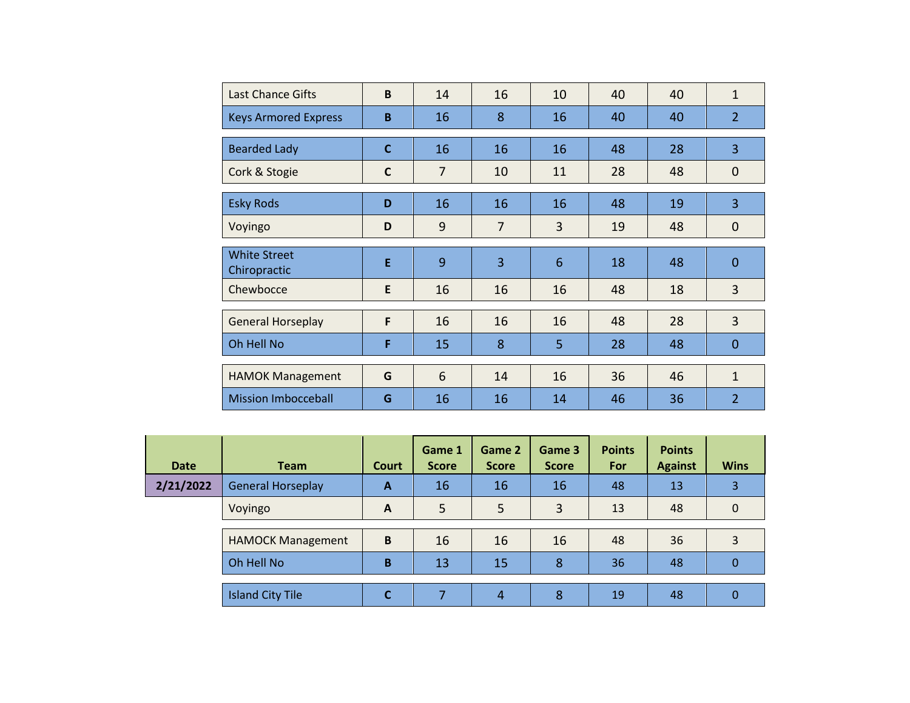| <b>Last Chance Gifts</b>            | B            | 14             | 16 | 10              | 40 | 40 | $\mathbf{1}$   |
|-------------------------------------|--------------|----------------|----|-----------------|----|----|----------------|
| <b>Keys Armored Express</b>         | B            | 16             | 8  | 16              | 40 | 40 | $\overline{2}$ |
| <b>Bearded Lady</b>                 | $\mathbf C$  | 16             | 16 | 16              | 48 | 28 | 3              |
| Cork & Stogie                       | $\mathsf{C}$ | $\overline{7}$ | 10 | 11              | 28 | 48 | $\mathbf 0$    |
| <b>Esky Rods</b>                    | D            | 16             | 16 | 16              | 48 | 19 | 3              |
| Voyingo                             | D            | 9              | 7  | 3               | 19 | 48 | $\mathbf 0$    |
| <b>White Street</b><br>Chiropractic | E            | 9              | 3  | $6\phantom{1}6$ | 18 | 48 | $\mathbf 0$    |
| Chewbocce                           | E            | 16             | 16 | 16              | 48 | 18 | 3              |
| <b>General Horseplay</b>            | F            | 16             | 16 | 16              | 48 | 28 | $\overline{3}$ |
| Oh Hell No                          | F            | 15             | 8  | 5               | 28 | 48 | $\mathbf{0}$   |
| <b>HAMOK Management</b>             | G            | 6              | 14 | 16              | 36 | 46 | $\mathbf{1}$   |
| <b>Mission Imbocceball</b>          | G            | 16             | 16 | 14              | 46 | 36 | $\overline{2}$ |

| <b>Date</b> | <b>Team</b>              | Court        | Game 1<br><b>Score</b> | Game 2<br><b>Score</b> | Game 3<br><b>Score</b> | <b>Points</b><br>For | <b>Points</b><br><b>Against</b> | <b>Wins</b> |
|-------------|--------------------------|--------------|------------------------|------------------------|------------------------|----------------------|---------------------------------|-------------|
| 2/21/2022   | <b>General Horseplay</b> | A            | 16                     | 16                     | 16                     | 48                   | 13                              | 3           |
|             | Voyingo                  | $\mathbf{A}$ | 5                      | 5                      | 3                      | 13                   | 48                              | 0           |
|             | <b>HAMOCK Management</b> | B            | 16                     | 16                     | 16                     | 48                   | 36                              |             |
|             | Oh Hell No               | B            | 13                     | 15                     | 8                      | 36                   | 48                              | 0           |
|             |                          |              |                        |                        |                        |                      |                                 |             |
|             | <b>Island City Tile</b>  |              |                        | 4                      | 8                      | 19                   | 48                              | 0           |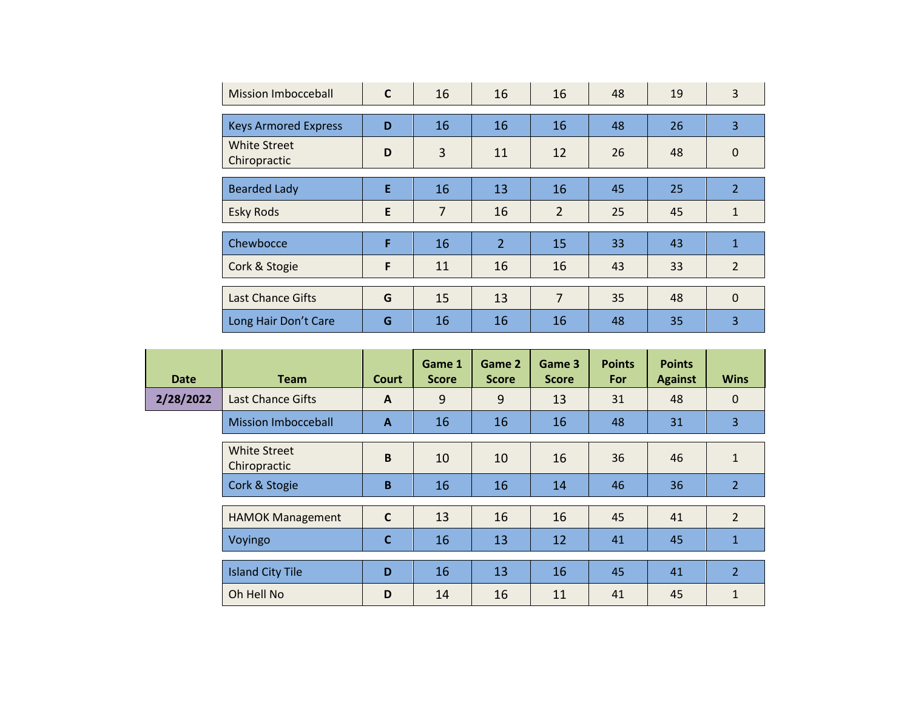| <b>Mission Imbocceball</b>          | $\mathsf{C}$ | 16             | 16             | 16             | 48 | 19 | 3              |
|-------------------------------------|--------------|----------------|----------------|----------------|----|----|----------------|
| <b>Keys Armored Express</b>         | D            | 16             | 16             | 16             | 48 | 26 | 3              |
| <b>White Street</b><br>Chiropractic | D            | 3              | 11             | 12             | 26 | 48 | 0              |
| <b>Bearded Lady</b>                 | E            | 16             | 13             | 16             | 45 | 25 | $\overline{2}$ |
| <b>Esky Rods</b>                    | E            | $\overline{7}$ | 16             | $\overline{2}$ | 25 | 45 | $\mathbf{1}$   |
|                                     |              |                |                |                |    |    |                |
| Chewbocce                           | F            | 16             | $\overline{2}$ | 15             | 33 | 43 | $\mathbf{1}$   |
| Cork & Stogie                       | F            | 11             | 16             | 16             | 43 | 33 | $\overline{2}$ |
|                                     |              |                |                |                |    |    |                |
| <b>Last Chance Gifts</b>            | G            | 15             | 13             | $\overline{7}$ | 35 | 48 | $\mathbf{0}$   |
| Long Hair Don't Care                | G            | 16             | 16             | 16             | 48 | 35 | 3              |

| <b>Date</b> | <b>Team</b>                         | Court        | Game 1<br><b>Score</b> | Game 2<br><b>Score</b> | Game 3<br><b>Score</b> | <b>Points</b><br>For | <b>Points</b><br><b>Against</b> | <b>Wins</b>    |
|-------------|-------------------------------------|--------------|------------------------|------------------------|------------------------|----------------------|---------------------------------|----------------|
| 2/28/2022   | <b>Last Chance Gifts</b>            | $\mathbf{A}$ | 9                      | 9                      | 13                     | 31                   | 48                              | $\mathbf 0$    |
|             | <b>Mission Imbocceball</b>          | A            | 16                     | 16                     | 16                     | 48                   | 31                              | 3              |
|             | <b>White Street</b><br>Chiropractic | B            | 10                     | 10                     | 16                     | 36                   | 46                              | $\mathbf{1}$   |
|             | Cork & Stogie                       | B            | 16                     | 16                     | 14                     | 46                   | 36                              | $\overline{2}$ |
|             | <b>HAMOK Management</b>             | $\mathsf{C}$ | 13                     | 16                     | 16                     | 45                   | 41                              | $\overline{2}$ |
|             | Voyingo                             | C            | 16                     | 13                     | 12                     | 41                   | 45                              | $\mathbf{1}$   |
|             | <b>Island City Tile</b>             | D            | 16                     | 13                     | 16                     | 45                   | 41                              | $\overline{2}$ |
|             | Oh Hell No                          | D            | 14                     | 16                     | 11                     | 41                   | 45                              | 1              |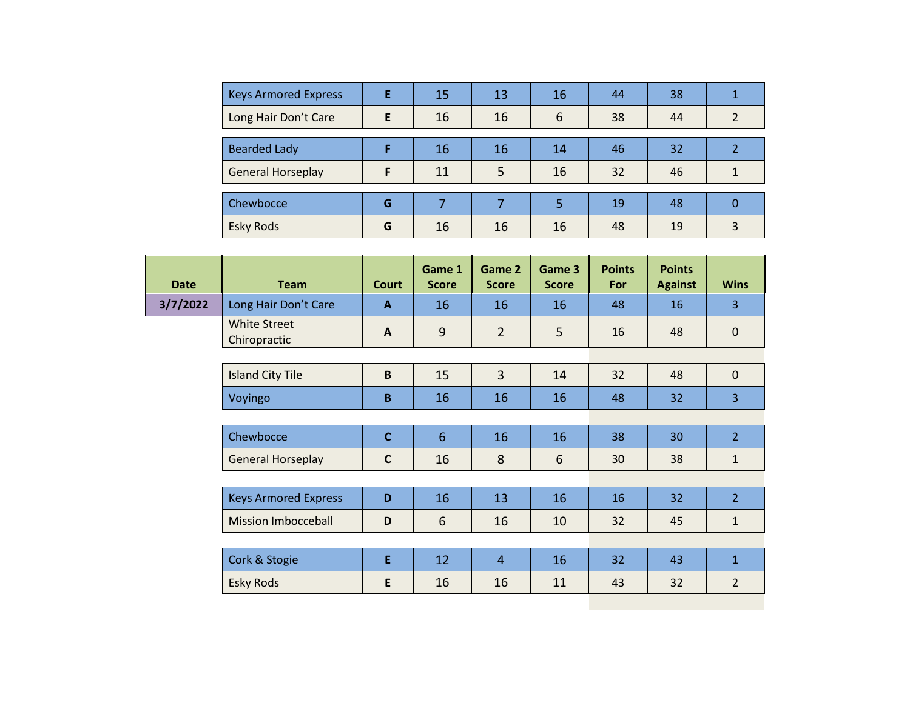| <b>Keys Armored Express</b> | F | 15 | 13 | 16 | 44 | 38 |               |
|-----------------------------|---|----|----|----|----|----|---------------|
| Long Hair Don't Care        | E | 16 | 16 | 6  | 38 | 44 | $\mathcal{D}$ |
|                             |   |    |    |    |    |    |               |
| <b>Bearded Lady</b>         |   | 16 | 16 | 14 | 46 | 32 |               |
| <b>General Horseplay</b>    | F | 11 | 5  | 16 | 32 | 46 |               |
|                             |   |    |    |    |    |    |               |
| Chewbocce                   | G | ⇁  |    | 5  | 19 | 48 |               |
| <b>Esky Rods</b>            | G | 16 | 16 | 16 | 48 | 19 | 3             |

| <b>Date</b> | <b>Team</b>                         | <b>Court</b>              | Game 1<br><b>Score</b> | Game 2<br><b>Score</b> | Game 3<br><b>Score</b> | <b>Points</b><br>For | <b>Points</b><br><b>Against</b> | <b>Wins</b>    |
|-------------|-------------------------------------|---------------------------|------------------------|------------------------|------------------------|----------------------|---------------------------------|----------------|
| 3/7/2022    | Long Hair Don't Care                | $\mathbf{A}$              | 16                     | 16                     | 16                     | 48                   | 16                              | 3              |
|             | <b>White Street</b><br>Chiropractic | $\boldsymbol{\mathsf{A}}$ | 9                      | $\overline{2}$         | 5                      | 16                   | 48                              | $\mathbf{0}$   |
|             |                                     |                           |                        |                        |                        |                      |                                 |                |
|             | <b>Island City Tile</b>             | B                         | 15                     | $\overline{3}$         | 14                     | 32                   | 48                              | $\mathbf{0}$   |
|             | Voyingo                             | B                         | 16                     | 16                     | 16                     | 48                   | 32                              | 3              |
|             |                                     |                           |                        |                        |                        |                      |                                 |                |
|             | Chewbocce                           | $\mathbf c$               | $6\phantom{1}$         | 16                     | 16                     | 38                   | 30                              | $\overline{2}$ |
|             | <b>General Horseplay</b>            | $\mathsf{C}$              | 16                     | 8                      | 6                      | 30                   | 38                              | $\mathbf{1}$   |
|             |                                     |                           |                        |                        |                        |                      |                                 |                |
|             | <b>Keys Armored Express</b>         | D                         | 16                     | 13                     | 16                     | 16                   | 32 <sub>2</sub>                 | $\overline{2}$ |
|             | <b>Mission Imbocceball</b>          | D                         | 6                      | 16                     | 10                     | 32                   | 45                              | 1              |
|             |                                     |                           |                        |                        |                        |                      |                                 |                |
|             | Cork & Stogie                       | E                         | 12                     | $\overline{4}$         | 16                     | 32                   | 43                              | $\mathbf{1}$   |
|             | <b>Esky Rods</b>                    | E                         | 16                     | 16                     | 11                     | 43                   | 32                              | $\overline{2}$ |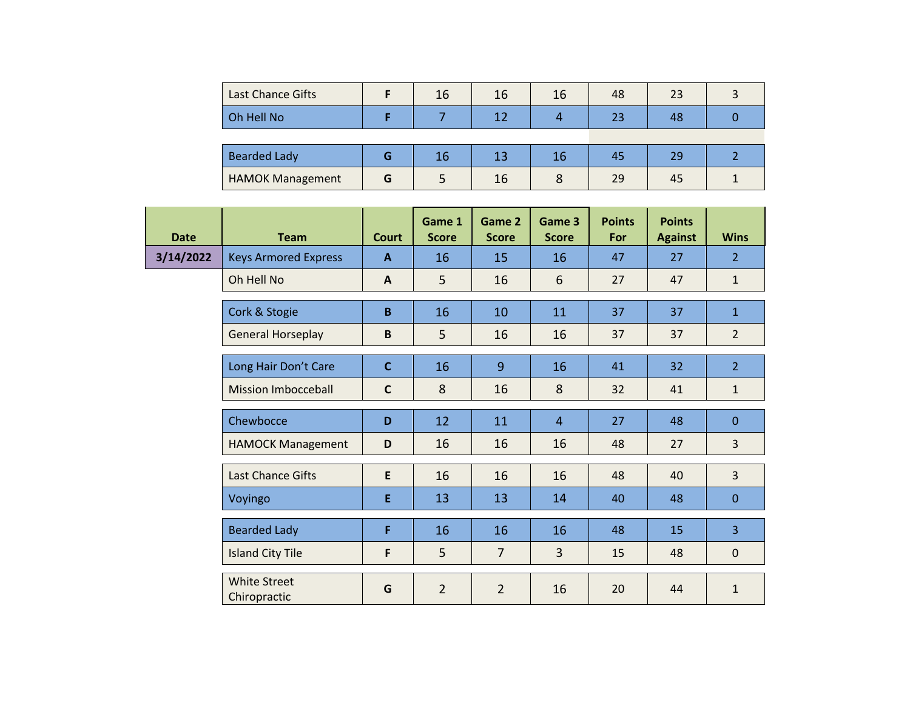| Last Chance Gifts       |   | 16 | 16 | 16 | 48 | 23 |  |
|-------------------------|---|----|----|----|----|----|--|
| Oh Hell No              |   |    |    |    | 23 | 48 |  |
|                         |   |    |    |    |    |    |  |
| <b>Bearded Lady</b>     | G | 16 | 13 | 16 | 45 | 29 |  |
| <b>HAMOK Management</b> | G |    | 16 |    | 29 | 45 |  |

| <b>Date</b> | <b>Team</b>                         | <b>Court</b> | Game 1<br><b>Score</b> | Game 2<br><b>Score</b> | Game 3<br><b>Score</b> | <b>Points</b><br>For | <b>Points</b><br><b>Against</b> | <b>Wins</b>    |
|-------------|-------------------------------------|--------------|------------------------|------------------------|------------------------|----------------------|---------------------------------|----------------|
| 3/14/2022   | <b>Keys Armored Express</b>         | $\mathbf{A}$ | 16                     | 15                     | 16                     | 47                   | 27                              | $\overline{2}$ |
|             | Oh Hell No                          | $\mathbf{A}$ | 5                      | 16                     | $6\phantom{1}6$        | 27                   | 47                              | $\mathbf{1}$   |
|             | Cork & Stogie                       | $\mathbf B$  | 16                     | 10                     | 11                     | 37                   | 37                              | $\mathbf{1}$   |
|             | <b>General Horseplay</b>            | $\mathbf B$  | 5                      | 16                     | 16                     | 37                   | 37                              | $\overline{2}$ |
|             | Long Hair Don't Care                | $\mathbf{C}$ | 16                     | $\overline{9}$         | 16                     | 41                   | 32                              | $\overline{2}$ |
|             | <b>Mission Imbocceball</b>          | $\mathsf{C}$ | 8                      | 16                     | 8                      | 32                   | 41                              | $\mathbf{1}$   |
|             | Chewbocce                           | D            | 12                     | 11                     | $\overline{4}$         | 27                   | 48                              | $\mathbf{0}$   |
|             | <b>HAMOCK Management</b>            | D            | 16                     | 16                     | 16                     | 48                   | 27                              | $\overline{3}$ |
|             | <b>Last Chance Gifts</b>            | E            | 16                     | 16                     | 16                     | 48                   | 40                              | 3              |
|             | Voyingo                             | E            | 13                     | 13                     | 14                     | 40                   | 48                              | $\mathbf{0}$   |
|             | <b>Bearded Lady</b>                 | F            | 16                     | 16                     | 16                     | 48                   | 15                              | 3              |
|             | <b>Island City Tile</b>             | F            | 5                      | $\overline{7}$         | 3                      | 15                   | 48                              | $\mathbf 0$    |
|             | <b>White Street</b><br>Chiropractic | G            | $\overline{2}$         | $\overline{2}$         | 16                     | 20                   | 44                              | $\mathbf{1}$   |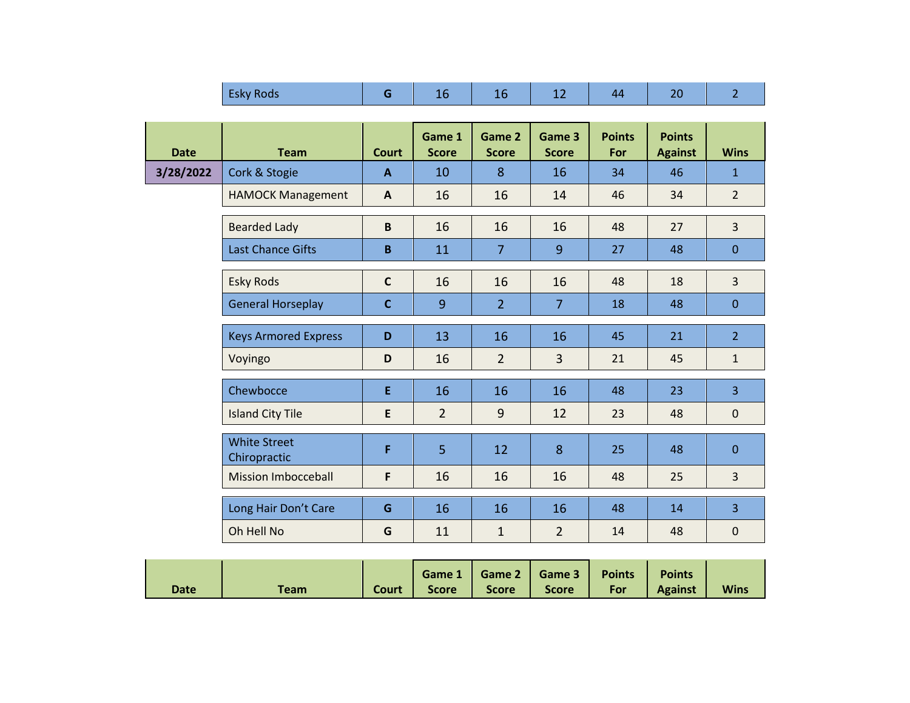|             | <b>Esky Rods</b>                    | G            | 16                     | 16                     | 12                     | 44                   | 20                              | $\overline{2}$ |
|-------------|-------------------------------------|--------------|------------------------|------------------------|------------------------|----------------------|---------------------------------|----------------|
|             |                                     |              |                        |                        |                        |                      |                                 |                |
| <b>Date</b> | <b>Team</b>                         | <b>Court</b> | Game 1<br><b>Score</b> | Game 2<br><b>Score</b> | Game 3<br><b>Score</b> | <b>Points</b><br>For | <b>Points</b><br><b>Against</b> | <b>Wins</b>    |
| 3/28/2022   | Cork & Stogie                       | $\mathbf{A}$ | 10                     | 8                      | 16                     | 34                   | 46                              | $\mathbf{1}$   |
|             | <b>HAMOCK Management</b>            | A            | 16                     | 16                     | 14                     | 46                   | 34                              | $\overline{2}$ |
|             | <b>Bearded Lady</b>                 | $\mathbf B$  | 16                     | 16                     | 16                     | 48                   | 27                              | 3              |
|             | <b>Last Chance Gifts</b>            | $\mathbf B$  | 11                     | $\overline{7}$         | 9                      | 27                   | 48                              | $\mathbf{0}$   |
|             | <b>Esky Rods</b>                    | $\mathsf C$  | 16                     | 16                     | 16                     | 48                   | 18                              | $\overline{3}$ |
|             | <b>General Horseplay</b>            | $\mathbf C$  | 9                      | $\overline{2}$         | $\overline{7}$         | 18                   | 48                              | $\overline{0}$ |
|             | <b>Keys Armored Express</b>         | D            | 13                     | 16                     | 16                     | 45                   | 21                              | $\overline{2}$ |
|             | Voyingo                             | D            | 16                     | $\overline{2}$         | $\overline{3}$         | 21                   | 45                              | $\mathbf{1}$   |
|             | Chewbocce                           | E            | 16                     | 16                     | 16                     | 48                   | 23                              | $\overline{3}$ |
|             | <b>Island City Tile</b>             | E            | $\overline{2}$         | $\overline{9}$         | 12                     | 23                   | 48                              | $\pmb{0}$      |
|             | <b>White Street</b><br>Chiropractic | F            | 5                      | 12                     | 8                      | 25                   | 48                              | $\mathbf{0}$   |
|             | <b>Mission Imbocceball</b>          | F            | 16                     | 16                     | 16                     | 48                   | 25                              | $\overline{3}$ |
|             | Long Hair Don't Care                | G            | 16                     | 16                     | 16                     | 48                   | 14                              | $\overline{3}$ |
|             | Oh Hell No                          | G            | 11                     | $\mathbf{1}$           | $\overline{2}$         | 14                   | 48                              | $\mathbf 0$    |
|             |                                     |              |                        |                        |                        |                      |                                 |                |

|      |      |              |              | Game 1   Game 2   Game 3   Points |       |     | <b>Points</b>  |             |
|------|------|--------------|--------------|-----------------------------------|-------|-----|----------------|-------------|
| Date | Team | <b>Court</b> | <b>Score</b> | <b>Score</b>                      | Score | For | <b>Against</b> | <b>Wins</b> |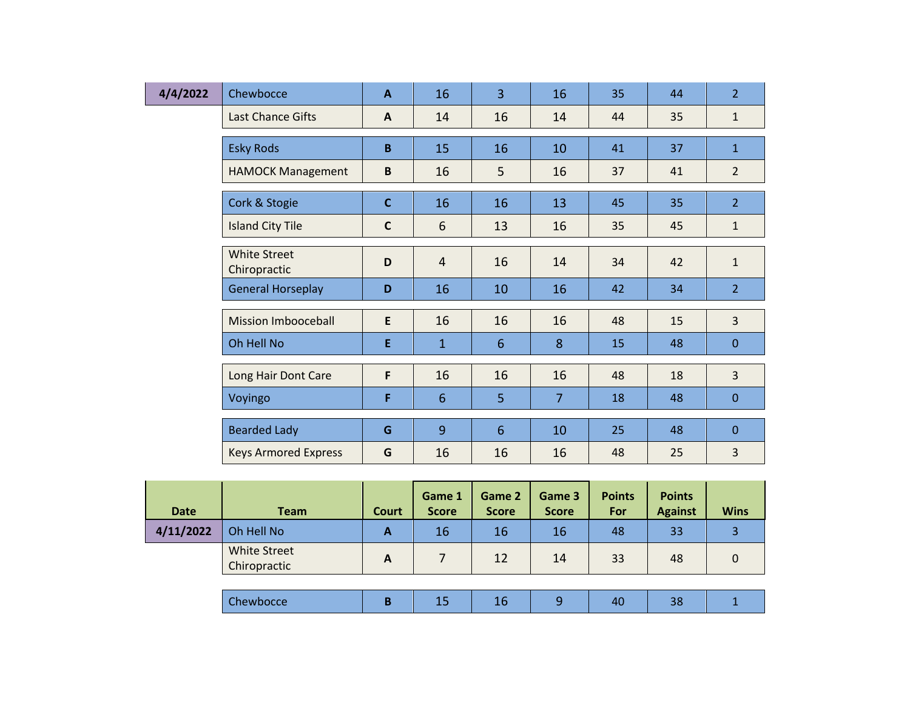| 4/4/2022 | Chewbocce                           | $\mathbf{A}$ | 16             | $\overline{3}$  | 16             | 35 | 44 | $\overline{2}$ |
|----------|-------------------------------------|--------------|----------------|-----------------|----------------|----|----|----------------|
|          | Last Chance Gifts                   | $\mathbf{A}$ | 14             | 16              | 14             | 44 | 35 | $\mathbf{1}$   |
|          |                                     |              |                |                 |                |    |    |                |
|          | <b>Esky Rods</b>                    | B            | 15             | 16              | 10             | 41 | 37 | $\overline{1}$ |
|          | <b>HAMOCK Management</b>            | B            | 16             | 5               | 16             | 37 | 41 | $\overline{2}$ |
|          | Cork & Stogie                       | $\mathbf c$  | 16             | 16              | 13             | 45 | 35 | $\overline{2}$ |
|          |                                     |              |                |                 |                |    |    |                |
|          | <b>Island City Tile</b>             | $\mathsf{C}$ | 6              | 13              | 16             | 35 | 45 | $\mathbf{1}$   |
|          | <b>White Street</b><br>Chiropractic | D            | $\overline{4}$ | 16              | 14             | 34 | 42 | $\mathbf{1}$   |
|          | <b>General Horseplay</b>            | D            | 16             | 10              | 16             | 42 | 34 | $\overline{2}$ |
|          |                                     |              |                |                 |                |    |    |                |
|          | <b>Mission Imbooceball</b>          | E            | 16             | 16              | 16             | 48 | 15 | $\overline{3}$ |
|          | Oh Hell No                          | Ε            | $\mathbf{1}$   | $6\phantom{1}6$ | 8              | 15 | 48 | $\mathbf{0}$   |
|          |                                     |              |                |                 |                |    |    |                |
|          | Long Hair Dont Care                 | F            | 16             | 16              | 16             | 48 | 18 | $\overline{3}$ |
|          | Voyingo                             | F            | $6\phantom{1}$ | 5               | $\overline{7}$ | 18 | 48 | $\pmb{0}$      |
|          |                                     |              |                |                 |                |    |    |                |
|          | <b>Bearded Lady</b>                 | G            | 9              | $6\overline{6}$ | 10             | 25 | 48 | $\mathbf{0}$   |
|          | <b>Keys Armored Express</b>         | G            | 16             | 16              | 16             | 48 | 25 | 3              |

| Date      | <b>Team</b>                         | Court        | <b>Game 1</b><br><b>Score</b> | Game 2<br><b>Score</b> | Game 3<br><b>Score</b> | <b>Points</b><br><b>For</b> | <b>Points</b><br><b>Against</b> | <b>Wins</b> |
|-----------|-------------------------------------|--------------|-------------------------------|------------------------|------------------------|-----------------------------|---------------------------------|-------------|
| 4/11/2022 | Oh Hell No                          | A            | 16                            | 16                     | 16                     | 48                          | 33                              |             |
|           | <b>White Street</b><br>Chiropractic | $\mathbf{A}$ |                               | 12                     | 14                     | 33                          | 48                              |             |
|           |                                     |              |                               |                        |                        |                             |                                 |             |
|           | Chewbocce                           | B            | 15                            | 16                     | 9                      | 40                          | 38                              |             |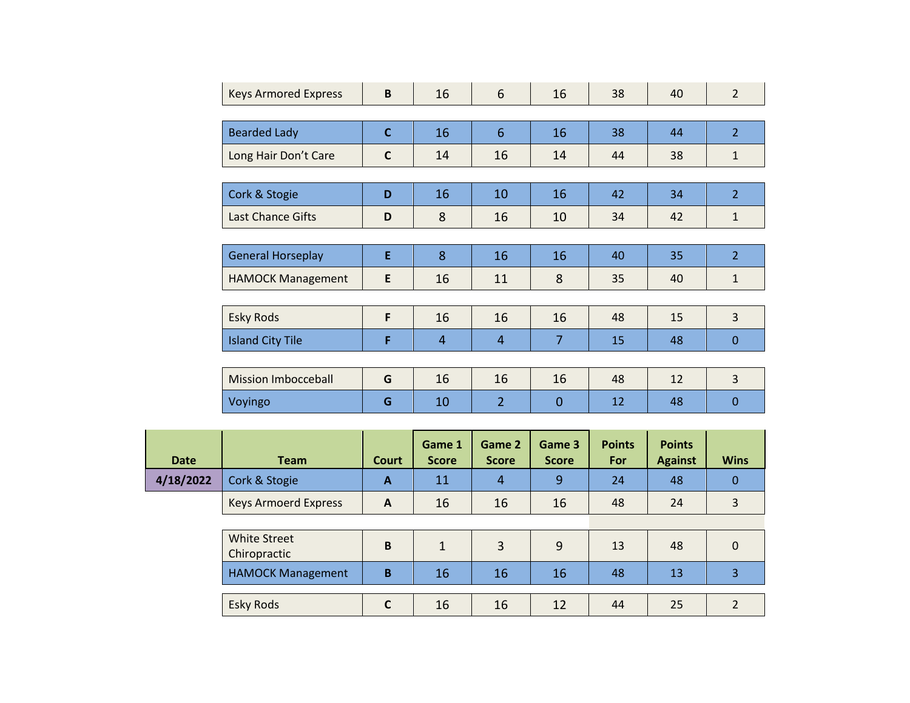| <b>Keys Armored Express</b> | B            | 16             | 6              | 16             | 38 | 40 | $\overline{2}$ |  |  |  |  |
|-----------------------------|--------------|----------------|----------------|----------------|----|----|----------------|--|--|--|--|
|                             |              |                |                |                |    |    |                |  |  |  |  |
| <b>Bearded Lady</b>         | $\mathsf{C}$ | 16             | 6              | 16             | 38 | 44 | $\overline{2}$ |  |  |  |  |
| Long Hair Don't Care        | $\mathsf{C}$ | 14             | 16             | 14             | 44 | 38 | $\mathbf{1}$   |  |  |  |  |
|                             |              |                |                |                |    |    |                |  |  |  |  |
| Cork & Stogie               | D            | 16             | 10             | 16             | 42 | 34 | $\overline{2}$ |  |  |  |  |
| <b>Last Chance Gifts</b>    | D            | 8              | 16             | 10             | 34 | 42 | $\mathbf{1}$   |  |  |  |  |
|                             |              |                |                |                |    |    |                |  |  |  |  |
| <b>General Horseplay</b>    | E            | 8              | 16             | 16             | 40 | 35 | $\overline{2}$ |  |  |  |  |
| <b>HAMOCK Management</b>    | E            | 16             | 11             | 8              | 35 | 40 | $\mathbf{1}$   |  |  |  |  |
|                             |              |                |                |                |    |    |                |  |  |  |  |
| <b>Esky Rods</b>            | F            | 16             | 16             | 16             | 48 | 15 | 3              |  |  |  |  |
| <b>Island City Tile</b>     | F            | $\overline{4}$ | $\overline{4}$ | $\overline{7}$ | 15 | 48 | $\overline{0}$ |  |  |  |  |
|                             |              |                |                |                |    |    |                |  |  |  |  |
| <b>Mission Imbocceball</b>  | G            | 16             | 16             | 16             | 48 | 12 | $\overline{3}$ |  |  |  |  |
| Voyingo                     | G            | 10             | $\overline{2}$ | $\overline{0}$ | 12 | 48 | $\overline{0}$ |  |  |  |  |

| <b>Date</b> | <b>Team</b>                         | Court        | Game 1<br><b>Score</b> | Game 2<br><b>Score</b> | Game 3<br><b>Score</b> | <b>Points</b><br>For | <b>Points</b><br><b>Against</b> | <b>Wins</b> |
|-------------|-------------------------------------|--------------|------------------------|------------------------|------------------------|----------------------|---------------------------------|-------------|
| 4/18/2022   | Cork & Stogie                       | A            | 11                     | 4                      | 9                      | 24                   | 48                              | 0           |
|             | <b>Keys Armoerd Express</b>         | $\mathbf{A}$ | 16                     | 16                     | 16                     | 48                   | 24                              | 3           |
|             |                                     |              |                        |                        |                        |                      |                                 |             |
|             | <b>White Street</b><br>Chiropractic | B            | $\mathbf{1}$           | 3                      | 9                      | 13                   | 48                              | $\Omega$    |
|             | <b>HAMOCK Management</b>            | B            | 16                     | 16                     | 16                     | 48                   | 13                              | 3           |
|             |                                     |              |                        |                        |                        |                      |                                 |             |
|             | <b>Esky Rods</b>                    | $\mathsf{C}$ | 16                     | 16                     | 12                     | 44                   | 25                              |             |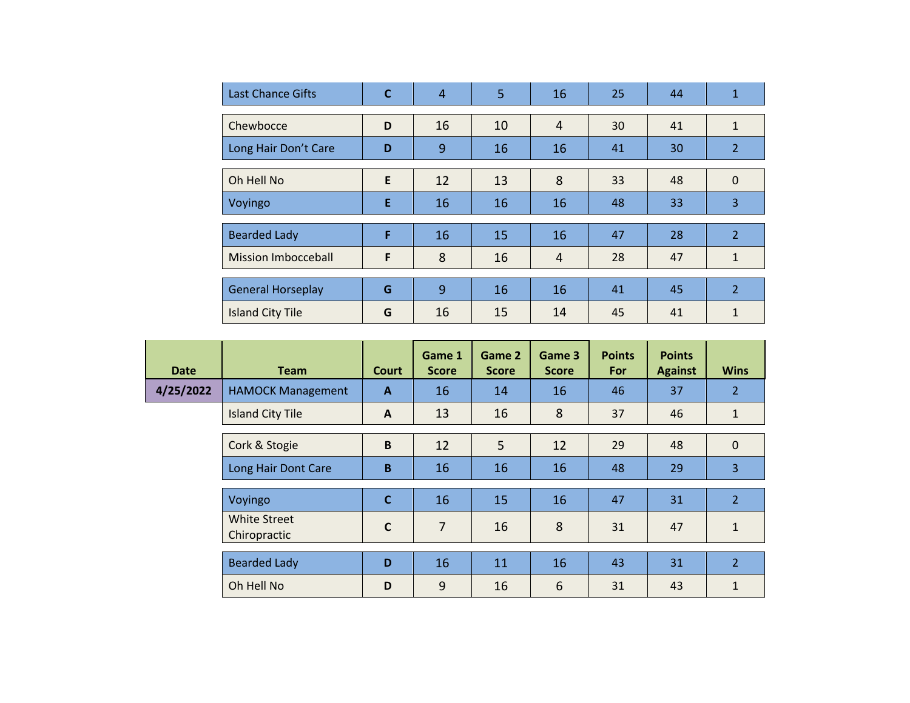| <b>Last Chance Gifts</b>   | C | 4  | 5  | 16             | 25 | 44 | 1              |
|----------------------------|---|----|----|----------------|----|----|----------------|
|                            |   |    |    |                |    |    |                |
| Chewbocce                  | D | 16 | 10 | $\overline{4}$ | 30 | 41 | $\mathbf{1}$   |
| Long Hair Don't Care       | D | 9  | 16 | 16             | 41 | 30 | $\overline{2}$ |
|                            |   |    |    |                |    |    |                |
| Oh Hell No                 | E | 12 | 13 | 8              | 33 | 48 | $\Omega$       |
| Voyingo                    | E | 16 | 16 | 16             | 48 | 33 | 3              |
|                            |   |    |    |                |    |    |                |
| <b>Bearded Lady</b>        | F | 16 | 15 | 16             | 47 | 28 | $\overline{2}$ |
| <b>Mission Imbocceball</b> | F | 8  | 16 | 4              | 28 | 47 | $\mathbf{1}$   |
|                            |   |    |    |                |    |    |                |
| <b>General Horseplay</b>   | G | 9  | 16 | 16             | 41 | 45 | $\overline{2}$ |
| <b>Island City Tile</b>    | G | 16 | 15 | 14             | 45 | 41 | 1              |

| <b>Date</b> | <b>Team</b>                         | <b>Court</b> | Game 1<br><b>Score</b> | Game 2<br><b>Score</b> | Game 3<br><b>Score</b> | <b>Points</b><br>For | <b>Points</b><br><b>Against</b> | <b>Wins</b>    |
|-------------|-------------------------------------|--------------|------------------------|------------------------|------------------------|----------------------|---------------------------------|----------------|
| 4/25/2022   | <b>HAMOCK Management</b>            | $\mathbf{A}$ | 16                     | 14                     | 16                     | 46                   | 37                              | $\overline{2}$ |
|             | <b>Island City Tile</b>             | A            | 13                     | 16                     | 8                      | 37                   | 46                              | $\mathbf{1}$   |
|             | Cork & Stogie                       | B            | 12                     | 5                      | 12                     | 29                   | 48                              | $\mathbf{0}$   |
|             | Long Hair Dont Care                 | B            | 16                     | 16                     | 16                     | 48                   | 29                              | 3              |
|             | Voyingo                             | $\mathbf{C}$ | 16                     | 15                     | 16                     | 47                   | 31                              | $\overline{2}$ |
|             | <b>White Street</b><br>Chiropractic | $\mathbf{C}$ | $\overline{7}$         | 16                     | 8                      | 31                   | 47                              | $\mathbf{1}$   |
|             | <b>Bearded Lady</b>                 | D            | 16                     | 11                     | 16                     | 43                   | 31                              | $\overline{2}$ |
|             | Oh Hell No                          | D            | 9                      | 16                     | 6                      | 31                   | 43                              | 1              |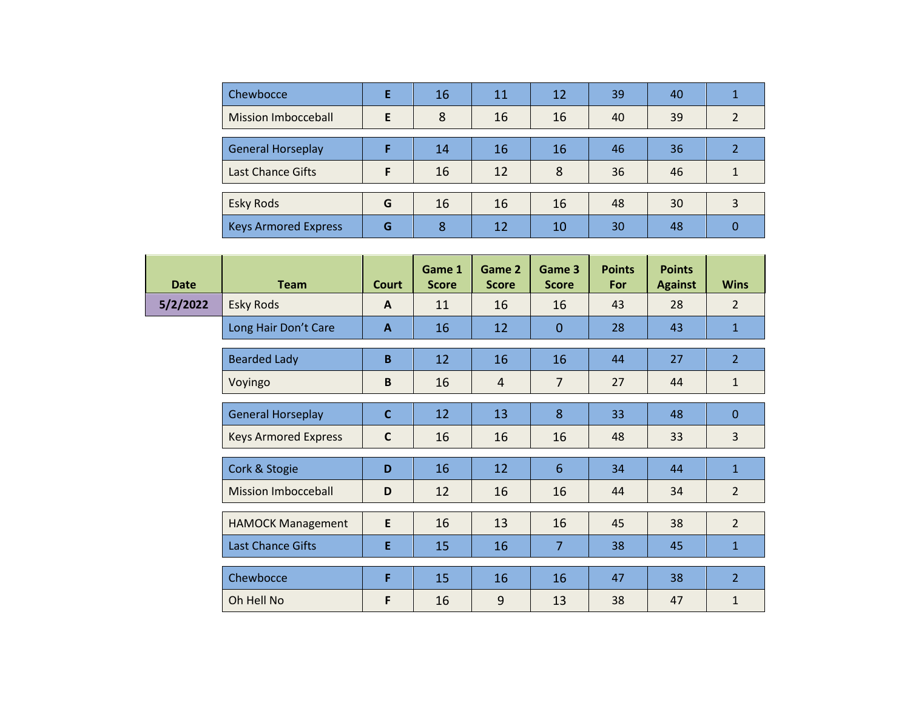| Chewbocce                   |   | 16 | 11 | 12 | 39 | 40 |  |
|-----------------------------|---|----|----|----|----|----|--|
| Mission Imbocceball         | F | 8  | 16 | 16 | 40 | 39 |  |
|                             |   |    |    |    |    |    |  |
| <b>General Horseplay</b>    |   | 14 | 16 | 16 | 46 | 36 |  |
| <b>Last Chance Gifts</b>    | F | 16 | 12 | 8  | 36 | 46 |  |
|                             |   |    |    |    |    |    |  |
| <b>Esky Rods</b>            | G | 16 | 16 | 16 | 48 | 30 |  |
| <b>Keys Armored Express</b> | G | 8  | 12 | 10 | 30 | 48 |  |

| <b>Date</b> | <b>Team</b>                 | Court        | Game 1<br><b>Score</b> | Game 2<br><b>Score</b> | Game 3<br><b>Score</b> | <b>Points</b><br>For | <b>Points</b><br><b>Against</b> | <b>Wins</b>    |
|-------------|-----------------------------|--------------|------------------------|------------------------|------------------------|----------------------|---------------------------------|----------------|
| 5/2/2022    | <b>Esky Rods</b>            | A            | 11                     | 16                     | 16                     | 43                   | 28                              | $\overline{2}$ |
|             | Long Hair Don't Care        | $\mathbf{A}$ | 16                     | 12                     | $\mathbf{0}$           | 28                   | 43                              | $\mathbf{1}$   |
|             | <b>Bearded Lady</b>         | B            | 12                     | 16                     | 16                     | 44                   | 27                              | $\overline{2}$ |
|             | Voyingo                     | B            | 16                     | $\overline{4}$         | $\overline{7}$         | 27                   | 44                              | $\mathbf{1}$   |
|             | <b>General Horseplay</b>    | $\mathsf{C}$ | 12                     | 13                     | 8                      | 33                   | 48                              | $\mathbf{0}$   |
|             | <b>Keys Armored Express</b> | $\mathbf c$  | 16                     | 16                     | 16                     | 48                   | 33                              | $\overline{3}$ |
|             | Cork & Stogie               | D            | 16                     | 12                     | $6\phantom{1}6$        | 34                   | 44                              | $\mathbf{1}$   |
|             | <b>Mission Imbocceball</b>  | D            | 12                     | 16                     | 16                     | 44                   | 34                              | $\overline{2}$ |
|             | <b>HAMOCK Management</b>    | E            | 16                     | 13                     | 16                     | 45                   | 38                              | $\overline{2}$ |
|             | <b>Last Chance Gifts</b>    | E            | 15                     | 16                     | $\overline{7}$         | 38                   | 45                              | $\mathbf{1}$   |
|             | Chewbocce                   | F            | 15                     | 16                     | 16                     | 47                   | 38                              | $\overline{2}$ |
|             | Oh Hell No                  | F            | 16                     | 9                      | 13                     | 38                   | 47                              | $\mathbf{1}$   |